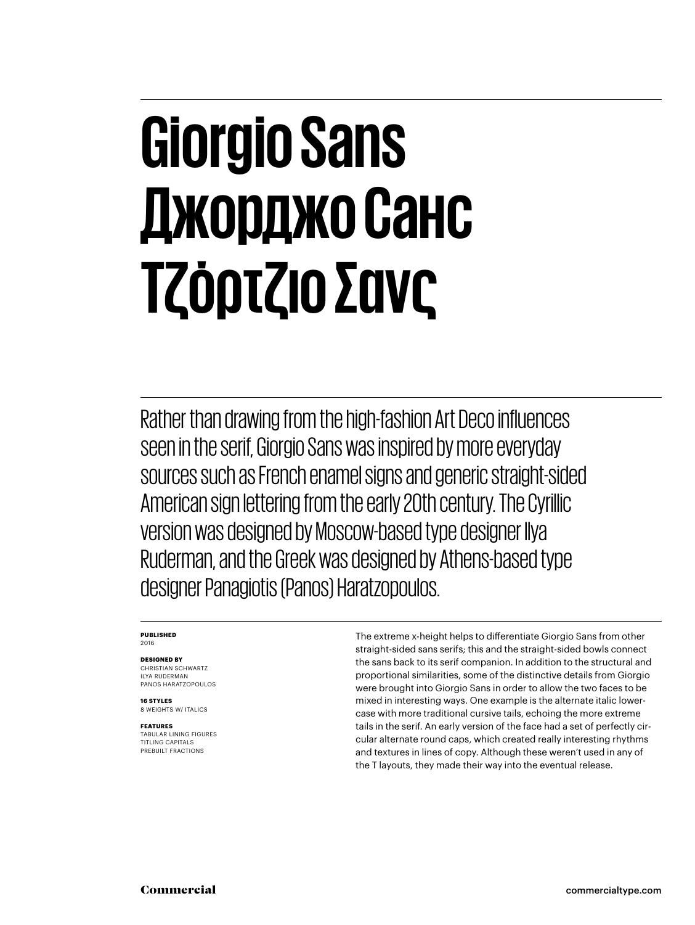#### **Giorgio Sans Джорджо Санс Τζόρτζιο Σανς**

Rather than drawing from the high-fashion Art Deco influences seen in the serif, Giorgio Sans was inspired by more everyday sources such as French enamel signs and generic straight-sided American sign lettering from the early 20th century. The Cyrillic version was designed by Moscow-based type designer Ilya Ruderman, and the Greek was designed by Athens-based type designer Panagiotis (Panos) Haratzopoulos.

#### **PUBLISHED** 2016

#### **DESIGNED BY**

CHRISTIAN SCHWARTZ ILYA RUDERMAN PANOS HARATZOPOULOS

**16 STYLES**

#### 8 WEIGHTS W/ ITALICS

**FEATURES** TABULAR LINING FIGURES TITLING CAPITALS PREBUILT FRACTIONS

The extreme x-height helps to differentiate Giorgio Sans from other straight-sided sans serifs; this and the straight-sided bowls connect the sans back to its serif companion. In addition to the structural and proportional similarities, some of the distinctive details from Giorgio were brought into Giorgio Sans in order to allow the two faces to be mixed in interesting ways. One example is the alternate italic lowercase with more traditional cursive tails, echoing the more extreme tails in the serif. An early version of the face had a set of perfectly circular alternate round caps, which created really interesting rhythms and textures in lines of copy. Although these weren't used in any of the T layouts, they made their way into the eventual release.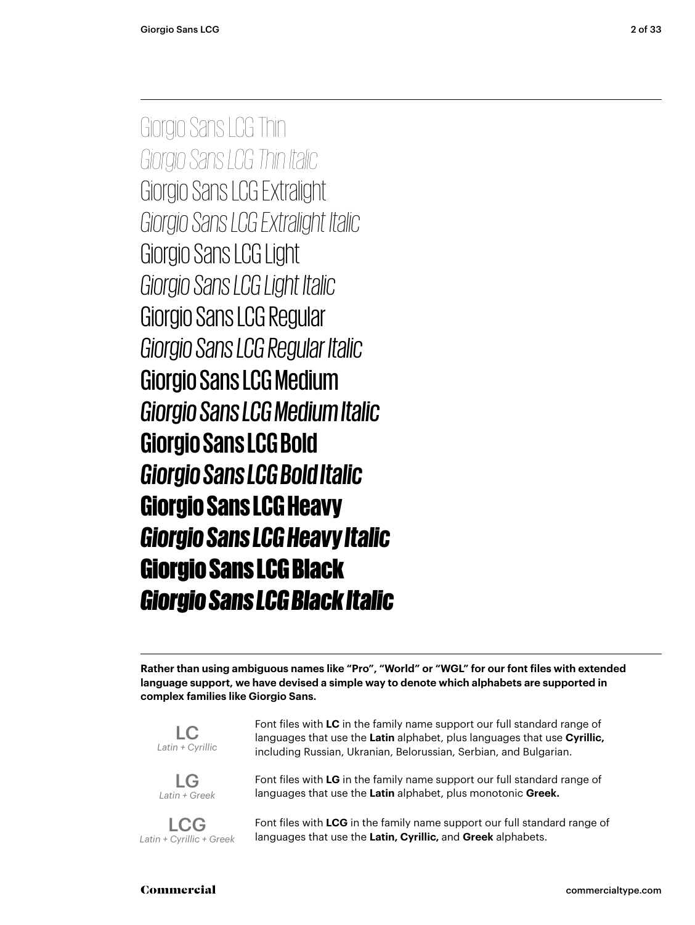Giorgio Sans LCG Thin *Giorgio Sans LCG Thin Italic* Giorgio Sans LCG Extralight *Giorgio Sans LCG Extralight Italic* Giorgio Sans LCG Light *Giorgio Sans LCG Light Italic* Giorgio Sans LCG Regular *Giorgio Sans LCG Regular Italic* Giorgio Sans LCG Medium *Giorgio Sans LCG Medium Italic* **Giorgio Sans LCG Bold** *Giorgio Sans LCG Bold Italic* Giorgio Sans LCG Heavy *Giorgio Sans LCG Heavy Italic* Giorgio Sans LCG Black *Giorgio Sans LCG Black Italic*

**Rather than using ambiguous names like "Pro", "World" or "WGL" for our font files with extended language support, we have devised a simple way to denote which alphabets are supported in complex families like Giorgio Sans.**



LG *Latin + Greek*

LCG *Latin + Cyrillic + Greek* including Russian, Ukranian, Belorussian, Serbian, and Bulgarian. Font files with **LG** in the family name support our full standard range of

Font files with **LC** in the family name support our full standard range of languages that use the **Latin** alphabet, plus languages that use **Cyrillic,**

languages that use the **Latin** alphabet, plus monotonic **Greek.**

Font files with **LCG** in the family name support our full standard range of languages that use the **Latin, Cyrillic,** and **Greek** alphabets.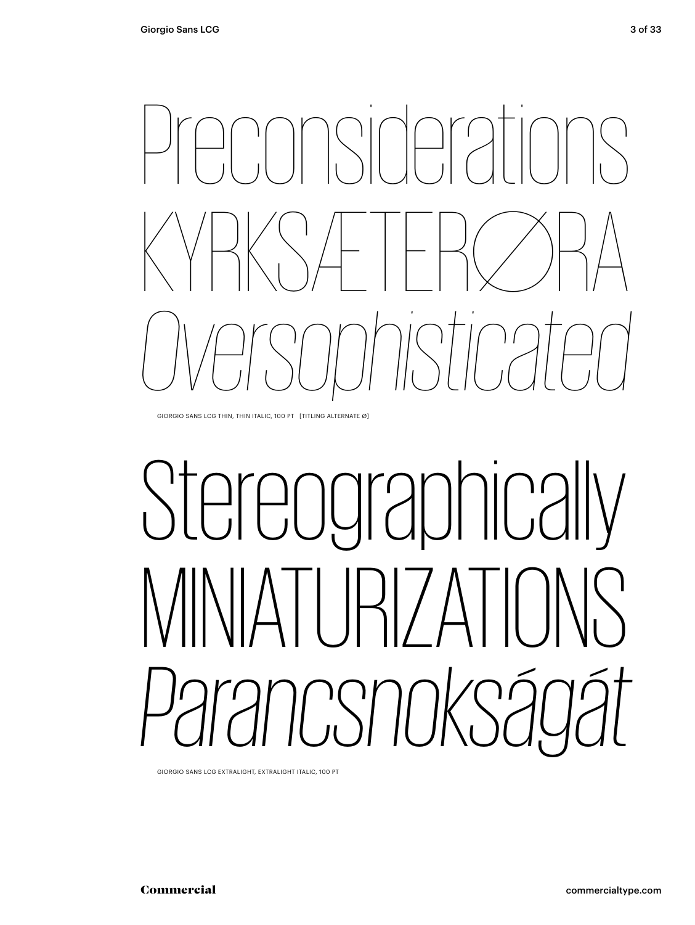

GIORGIO SANS LCG THIN, THIN ITALIC, 100 PT [TITLING ALTERNATE Ø]

# Stereographically  $317\Delta$ *Parancsnokságát*

GIORGIO SANS EXTRALIGHT, EXTRALIGHT ITALIC, 100 PT GIORGIO SANS LCG EXTRALIGHT, EXTRALIGHT ITALIC, 100 PT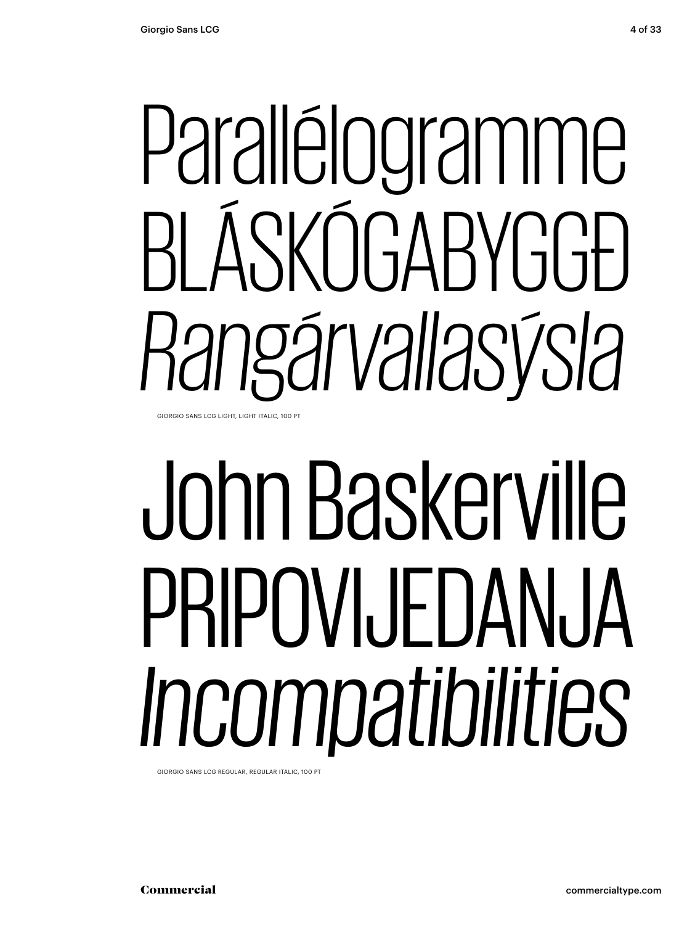# Parallélogramme<br>BLÁSKÓGABYGGÐ *Rangárvallasýsla*

GIORGIO SANS LIGHT, LIGHT ITALIC, 100 PT GIORGIO SANS LCG LIGHT, LIGHT ITALIC, 100 PT

# Parallélogramme<br>BLÁSKÓGABYGGÐ<br>*Rangárvallasýsla*<br>John Baskerville<br>PRIPOVIJEDANJA<br>Incompatibilities John Baskerville PRIPOVIJEDANJA *Incompatibilities*

GIORGIO SANS REGULAR, REGULAR ITALIC, 100 PT GIORGIO SANS LCG REGULAR, REGULAR ITALIC, 100 PT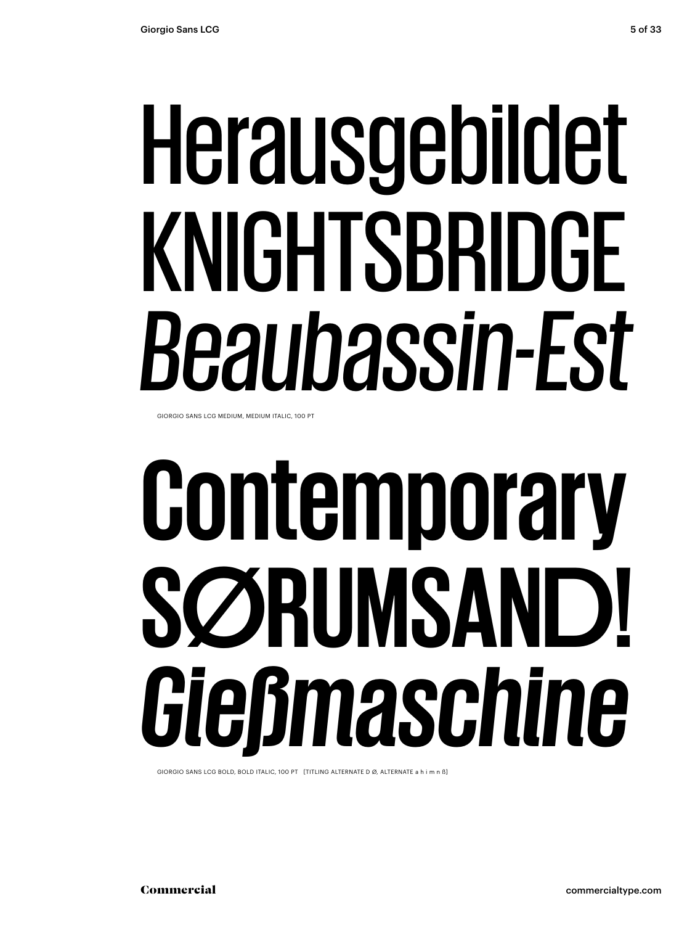# Herausgebildet<br>KNIGHTSBRIDGE<br>*Beaubassin-Est*<br>Contemporary<br>SØRUMSAND!<br>Gießmaschine KNIGHTSBRIDGE *Beaubassin-Est*

GIORGIO SANS LCG MEDIUM, MEDIUM ITALIC, 100 PT

# **Contemporary SØRUMSAND!** *Gießmaschine*

GIORGIO SANS LCG BOLD, BOLD ITALIC, 100 PT [TITLING ALTERNATE D Ø, ALTERNATE a h i m n ß]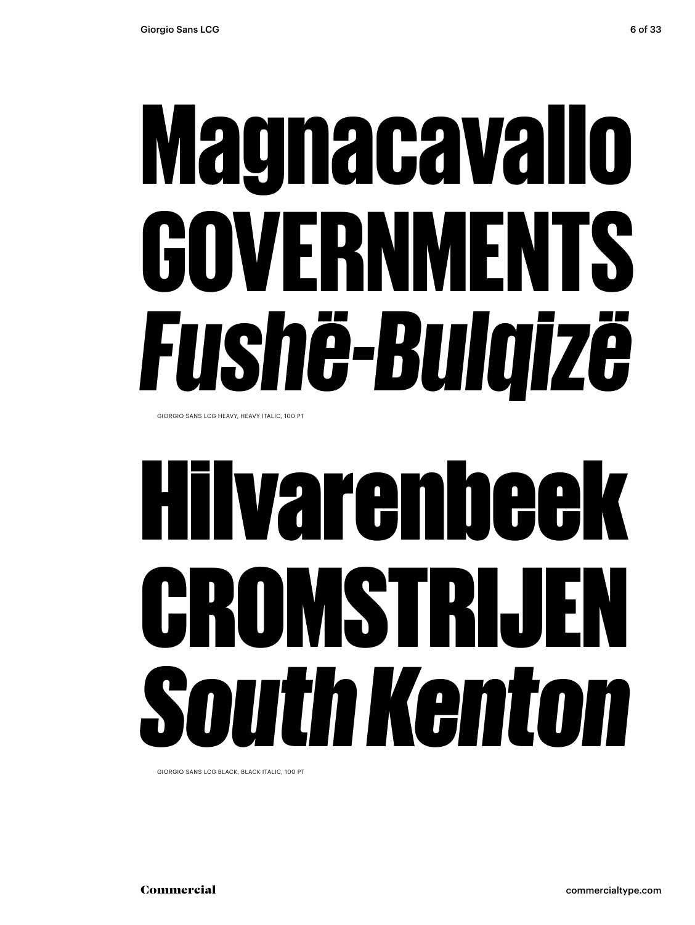# **Magnacavallo<br>Governments<br>***Fushë-Bulqizë***<br>Hilvarenbeek<br>Cromstrijen<br>South Kenton** GOVERNMENTS *Fushë-Bulqizë*

GIORGIO SANS LCG HEAVY, HEAVY ITALIC, 100 PT

## Hilvarenbeek CROMSTRIJEN *South Kenton*

GIORGIO SANS LCG BLACK, BLACK ITALIC, 100 PT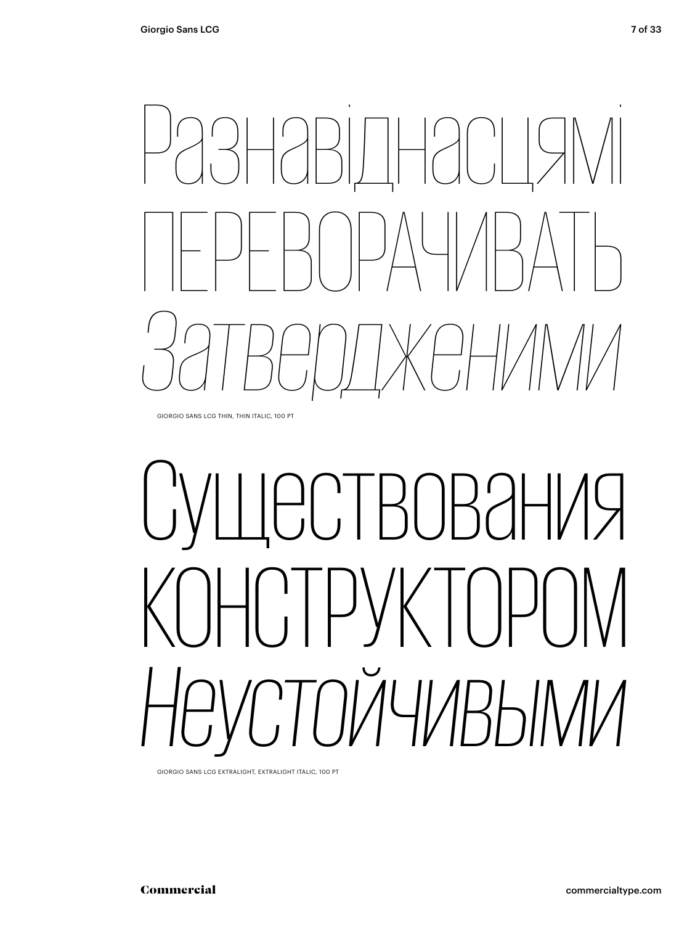# Разнавіднасцямі ПЕРЕВОРАЧИВАТЬ *Затвердженими*

GIORGIO SANS LCG THIN, THIN ITALIC, 100 PT

## **ЈЕСТВОВАНИЯ** РУКТОРС *Неустойчивыми*

GIORGIO SANS LCG EXTRALIGHT, EXTRALIGHT ITALIC, 100 PT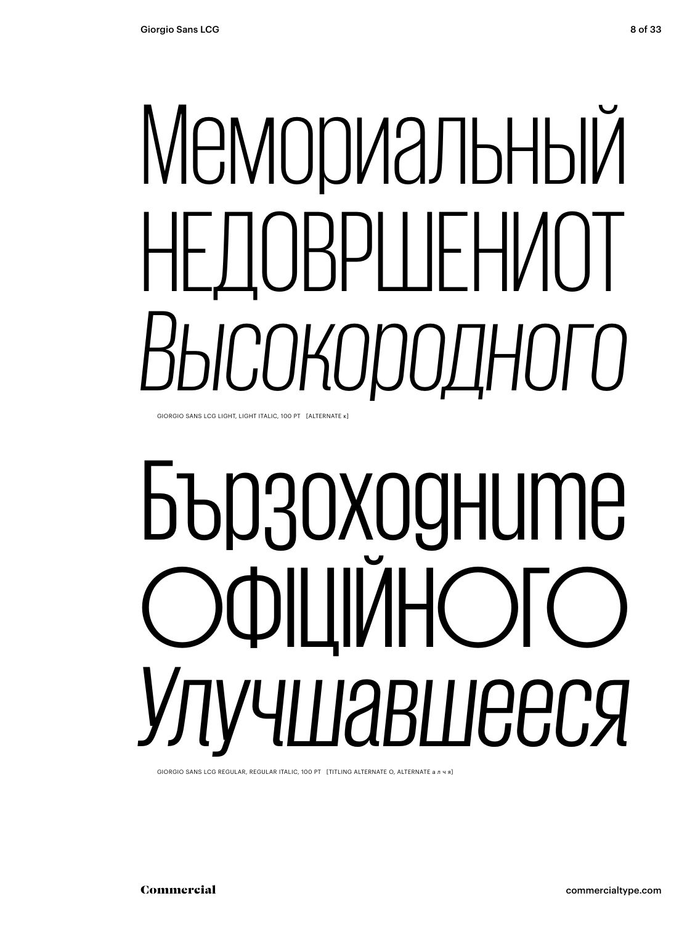# Мемориальный НЕДОВРШЕНИОТ *Высокородного*

GIORGIO SANS LCG LIGHT, LIGHT ITALIC, 100 PT [ALTERNATE к]

## Бързоходните ОФІЦІЙНОГО *Улучшавшееся*

GIORGIO SANS LCG REGULAR, REGULAR ITALIC, 100 PT [TITLING ALTERNATE O, ALTERNATE алчя]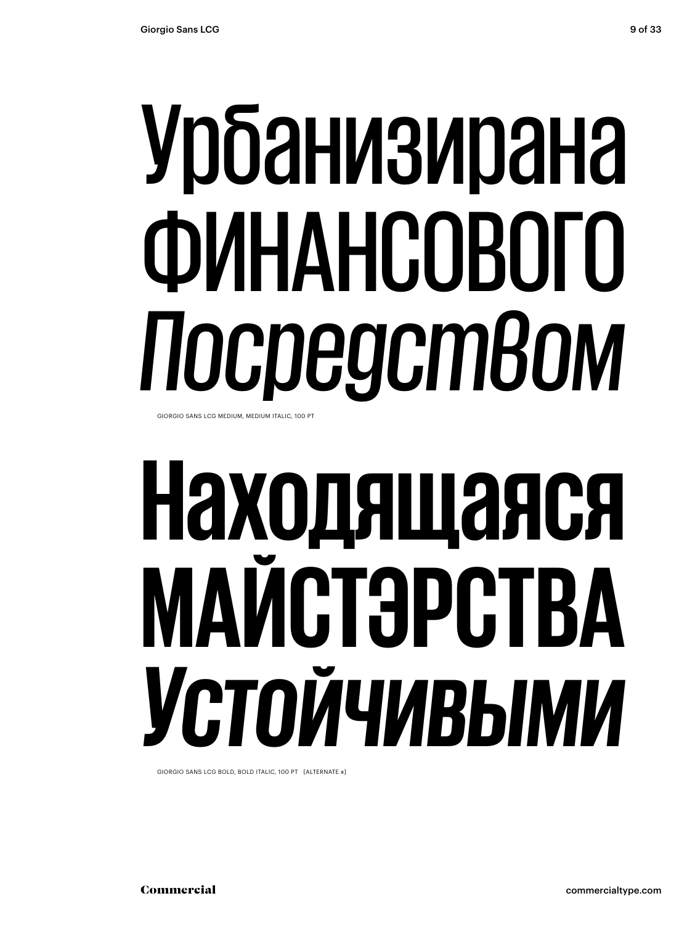### Урбанизирана ФИНАНСОВОГО *Посредством* GIORGIO SANS LCG MEDIUM, MEDIUM ITALIC, 100 PT

## **Находящаяся МАЙСТЭРСТВА** *Устойчивыми*

GIORGIO SANS LCG BOLD, BOLD ITALIC, 100 PT [ALTERNATE я]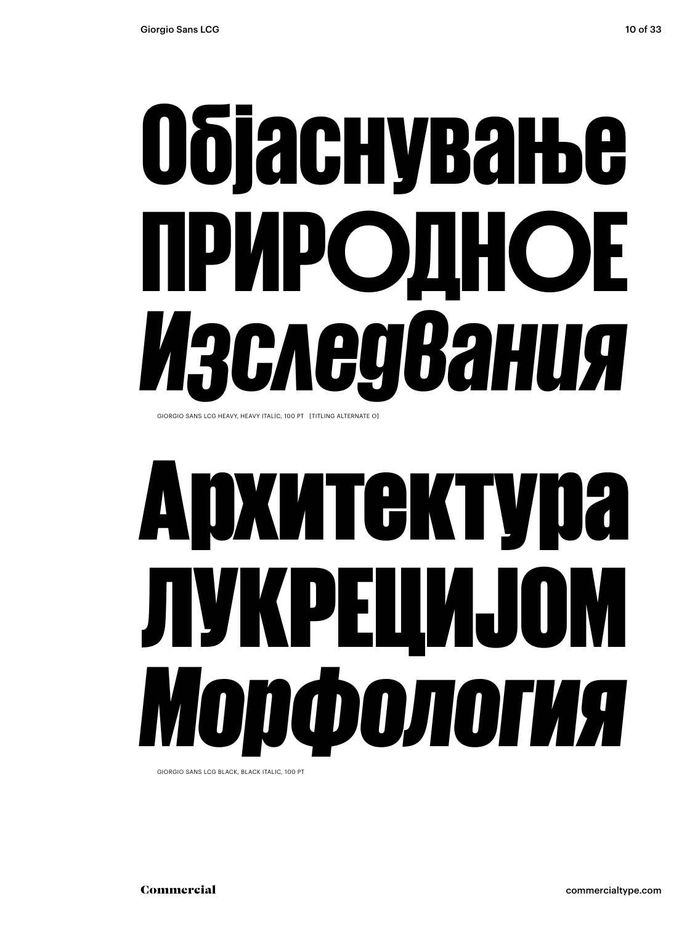# Објаснување ПРИРОДНОЕ *Изследвания*

GIORGIO SANS LCG HEAVY, HEAVY ITALIC, 100 PT [TITLING ALTERNATE O]

## Архитектура ЛУКРЕЦИЈОМ *Морфология*

GIORGIO SANS LCG BLACK, BLACK ITALIC, 100 PT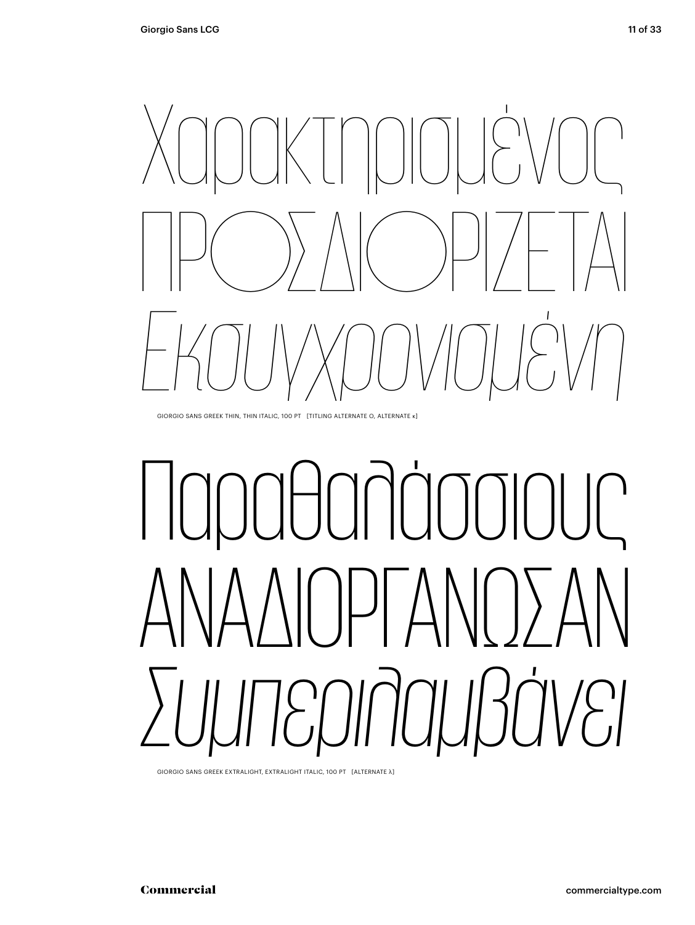

GIORGIO SANS GREEK THIN, THIN ITALIC, 100 PT [TITLING ALTERNATE O, ALTERNATE κ]

# Παραθαλάσσιους ΑΝΑΔΙΟΡΓΑΝΩΣΑΝ *Συμπεριλαμβάνει*

GIORGIO SANS GREEK EXTRALIGHT, EXTRALIGHT ITALIC, 100 PT [ALTERNATE λ]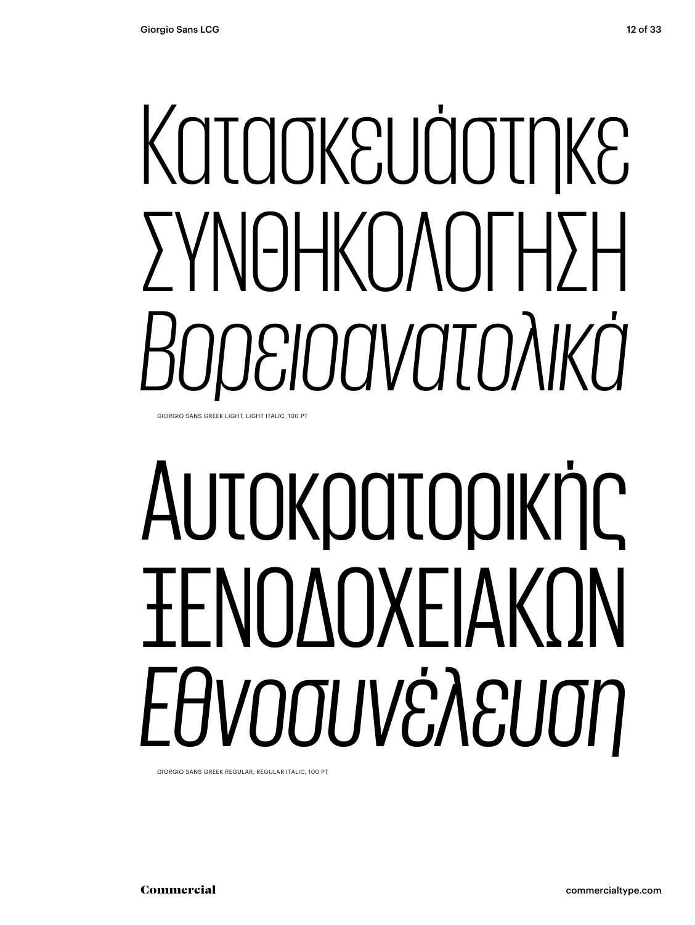# Κατασκευάστηκε ΣΥΝΘΗΚΟΛΟΓΗΣΗ *Βορειοανατολικά*

GIORGIO SANS GREEK LIGHT, LIGHT ITALIC, 100 PT

# Αυτοκρατορικής ΞΕΝΟΔΟΧΕΙΑΚΏΝ *Εθνοσυνέλευση*

GIORGIO SANS GREEK REGULAR, REGULAR ITALIC, 100 PT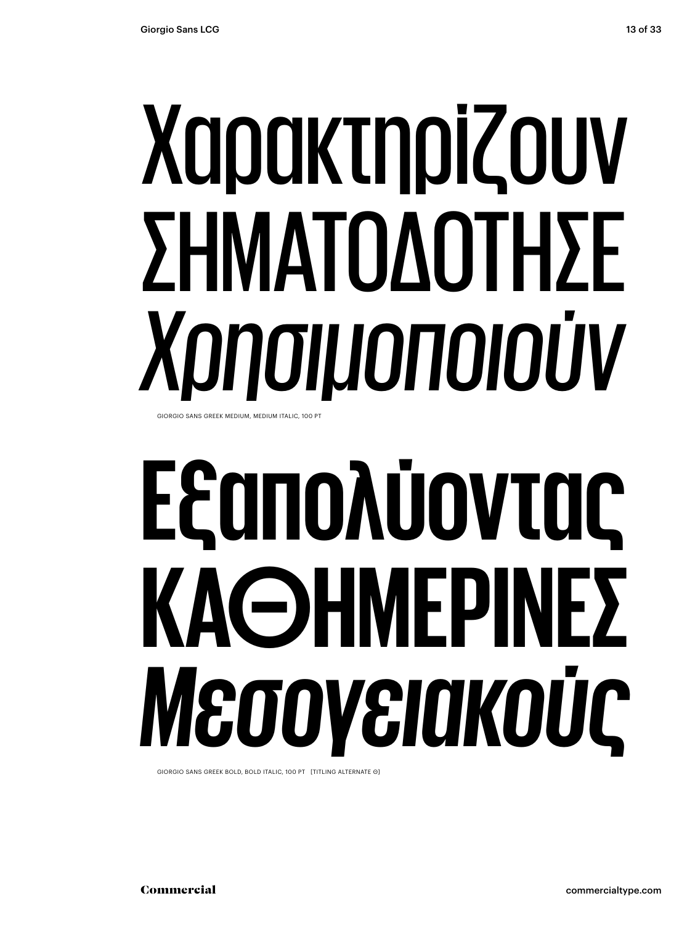## Χαρακτηρίζουν ΣΗΜΑΤΟΔΟΤΗΣΕ *Χρησιμοποιούν* GIORGIO SANS GREEK MEDIUM, MEDIUM ITALIC, 100 PT

# **Εξαπολύοντας ΚΑΘΗΜΕΡΙΝΕΣ**  *Μεσογειακούς*

GIORGIO SANS GREEK BOLD, BOLD ITALIC, 100 PT [TITLING ALTERNATE Θ]

Commercial commercialtype.com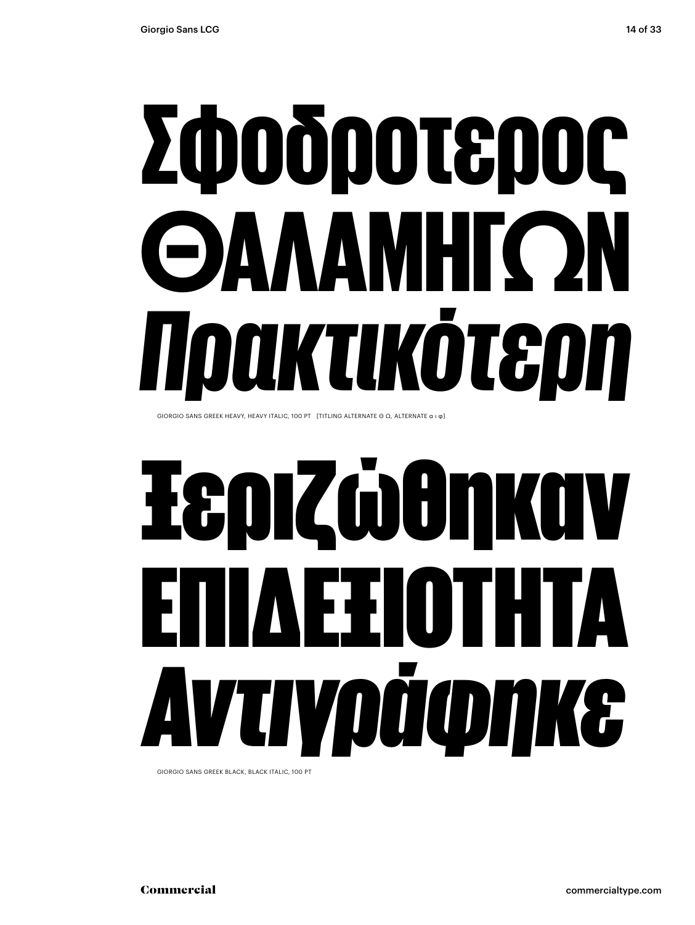# Σφοδροτερος ΘΑΛΑΜΗΓΏΝ *Πρακτικότερη*

GIORGIO SANS GREEK HEAVY, HEAVY ITALIC, 100 PT [TITLING ALTERNATE Θ Ω, ALTERNATE α ι φ]

# Ξεριζώθηκαν ΕΞΙΟΤΗΤΑ *Αντιγράφηκε*

GIORGIO SANS GREEK BLACK, BLACK ITALIC, 100 PT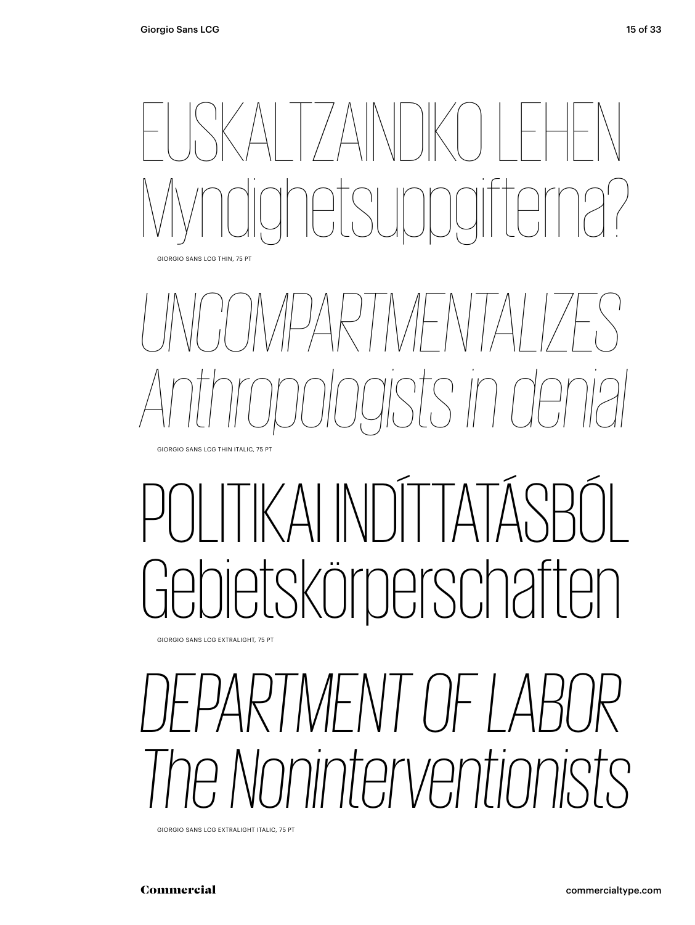

## *UNCOMPARTMENTALIZES Anthropologists in denial*

### KAI INDITTA etskörperschaften

GIORGIO SANS LCG EXTRALIGHT, 75 PT GIORGIO SANS EXTRALIGHT, 75 PT

GIORGIO SANS LCG THIN ITALIC, 75 PT

#### *DEPARTMENT OF LABOR The Noninterventionists*

GIORGIO SANS LCG EXTRALIGHT ITALIC, 75 PT GIORGIO SANS EXTRALIGHT ITALIC, 75 PT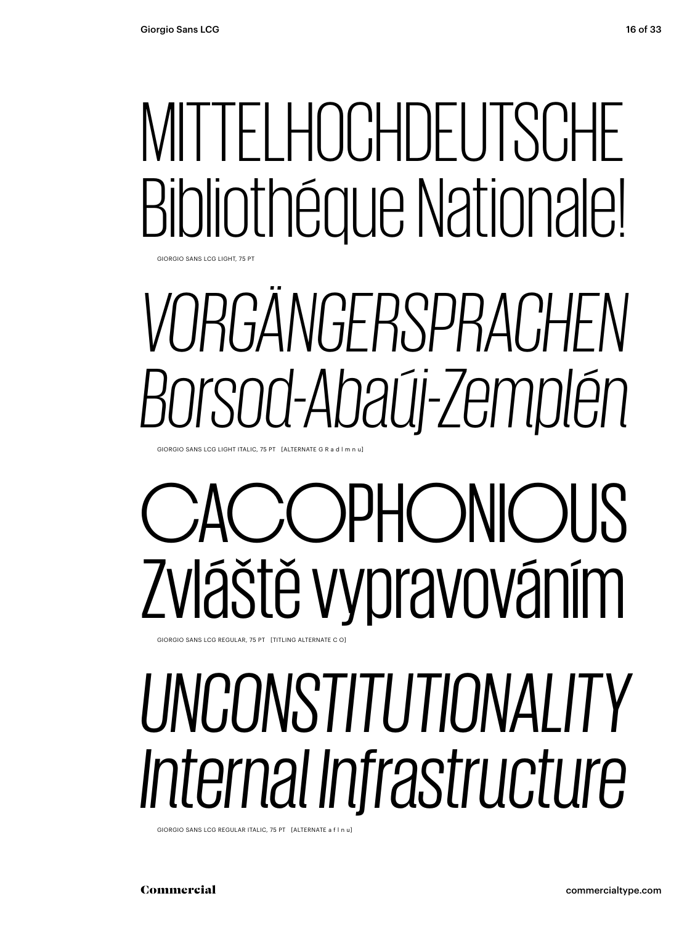# Bibliothéque Nationale!

GIORGIO SANS LCG LIGHT, 75 PT

# MITTELHOCHDEUTSCHE<br>Bibliothéque Nationale!<br>VORGÄNGERSPRACHEN<br>Borsod-Abaúj-Zemplén<br>CACOPHONIOUS<br>ZVláště Vypravováním<br>UNCONSTITUTIONALITY<br>Internal Infrastructure *VORGÄNGERSPRACHEN Borsod-Abaúj-Zemplén*

GIORGIO SANS LIGHT ITALIC, 75 PT [ALTERNATE R G a d l m n u] GIORGIO SANS LCG LIGHT ITALIC, 75 PT [ALTERNATE G R a d l m n u]

### **COPHONIOUS** Zvláště vypravováním

GIORGIO SANS LCG REGULAR, 75 PT [TITLING ALTERNATE C O]

#### *UNCONSTITUTIONALITY Internal Infrastructure*

GIORGIO SANS LCG REGULAR ITALIC, 75 PT [ALTERNATE a f l n u]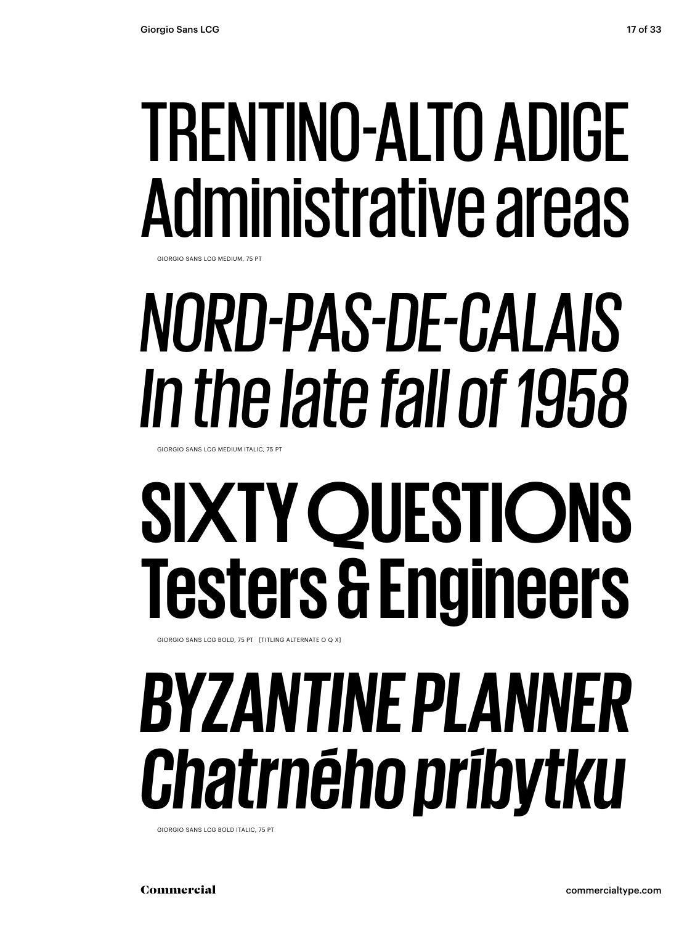# Administrative areas

GIORGIO SANS LCG MEDIUM, 75 PT

## *NORD-PAS-DE-CALAIS In the late fall of 1958*

GIORGIO SANS LCG MEDIUM ITALIC, 75 PT

# **TRENTINO-ALTO ADIGE<br>Administrative areas<br>***NORD-PAS-DE-CALAIS<br>In the late fall of 1958<br>SIXTY QUESTIONS<br>Testers & Engineers<br>BYZANTINE PLANNER<br>Chatrného príbytku* **SIXTY QUESTIONS SIXTY QUESTIONS Chatrného príbytku Testers & Engineers**

GIORGIO SANS LCG BOLD, 75 PT [TITLING ALTERNATE O Q X]

## *BYZANTINE EMPEROR BYZANTINE PLANNER Municipal Engineers Chatrného príbytku*

GIORGIO SANS LCG BOLD ITALIC, 75 PT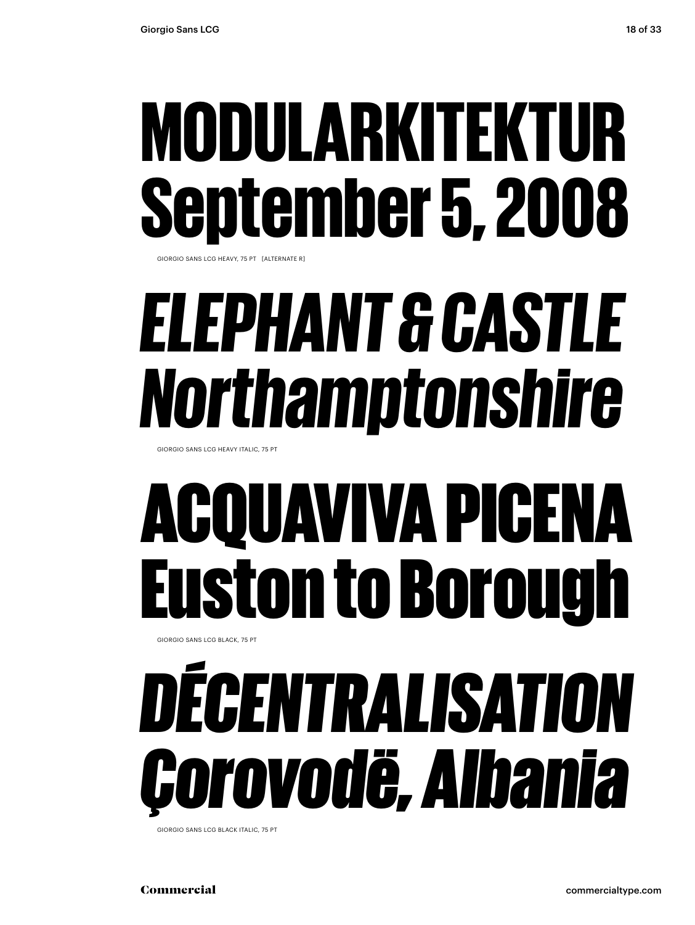# September 5, 2008

GIORGIO SANS LCG HEAVY, 75 PT [ALTERNATE R]

#### *ELEPHANT & CASTLE Northamptonshire*

GIORGIO SANS LCG HEAVY ITALIC, 75 PT

### ACQUAVIVA PICENA Euston to Borough

GIORGIO SANS LCG BLACK, 75 PT

# **MODULARKITEKTUR<br>September 5, 2008<br>***ELEPHANT & CASTLE<br>Northamptonshire***<br>ACQUAVIVA PICENA<br>Euston to Borough<br>DÉCENTRALISATION<br>GOrovodë, Albania** *DÉCENTRALISATION Çorovodë, Albania*

GIORGIO SANS LCG BLACK ITALIC, 75 PT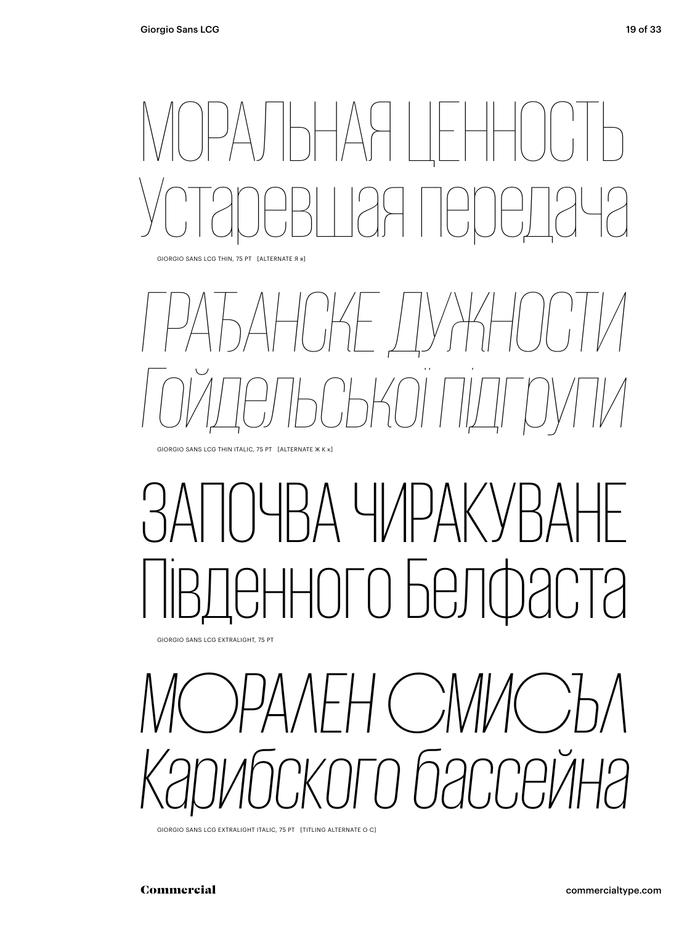## МОРАЛЬНАЯ ЦЕННОСТЬ Устаревшая передача

GIORGIO SANS LCG THIN, 75 PT [ALTERNATE Я я]

#### *ГРАЂАНСКЕ ДУЖНОСТИ Гойдельської підгрупи* GIORGIO SANS LCG THIN ITALIC, 75 PT [ALTERNATE Ж К к]

#### ЗА ЧИРАК Південного Белфаста

GIORGIO SANS LCG EXTRALIGHT, 75 PT

#### *МОРАЛЕН СМИСЪЛ Карибского бассейна*

GIORGIO SANS LCG EXTRALIGHT ITALIC, 75 PT [TITLING ALTERNATE O C]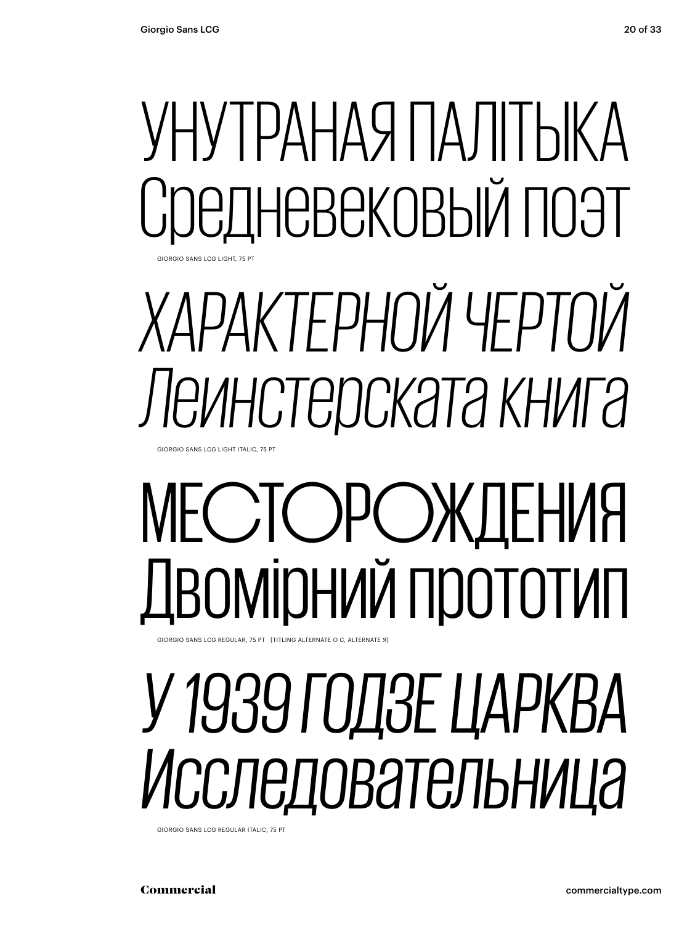#### УНУТРАНАЯ ПАЛІТЫКА ІНЕВЕКОВЫЙ ПОЭТ **GIORGIO SANS LCG LIGHT, 75 PT**

## *ХАРАКТЕРНОЙ ЧЕРТОЙ Леинстерската книга*

GIORGIO SANS LCG LIGHT ITALIC, 75 PT

## МЕСТОРОЖДЕНИЯ Двомірний прототип

GIORGIO SANS LCG REGULAR, 75 PT [TITLING ALTERNATE O C, ALTERNATE Я]

#### *У 1939 ГОДЗЕ ЦАРКВА Исследовательница*

GIORGIO SANS LCG REGULAR ITALIC, 75 PT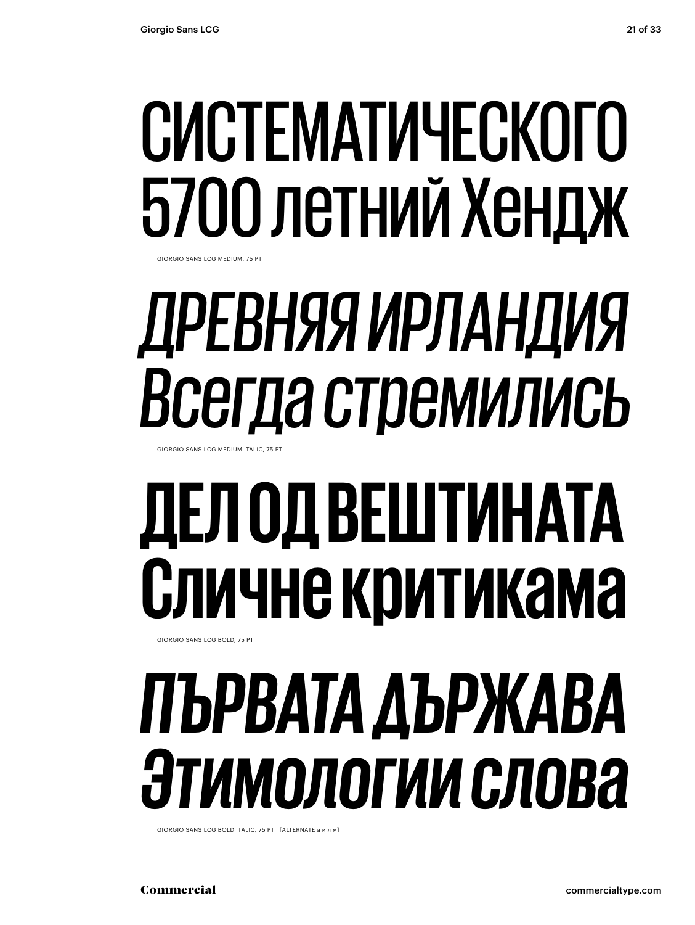## СИСТЕМАТИЧЕСКОГО 5700 летний Хендж

GIORGIO SANS LCG MEDIUM, 75 PT

## *ДРЕВНЯЯ ИРЛАНДИЯ Всегда стремились*

GIORGIO SANS LCG MEDIUM ITALIC, 75 PT

## **ДЕЛ ОД ВЕШТИНАТА Сличне критикама**

#### GIORGIO SANS LCG BOLD, 75 PT

#### *ПЪРВАТА ДЪРЖАВА Этимологии слова*

GIORGIO SANS LCG BOLD ITALIC, 75 PT [ALTERNATE а и л м]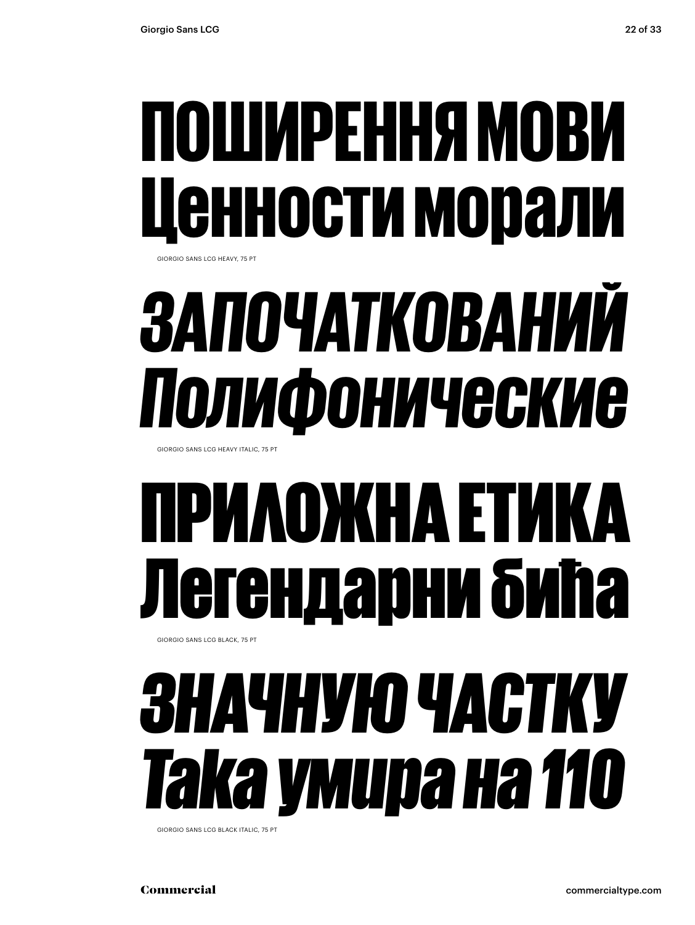#### ПОШИРЕННЯ МОВИ Ценности морали GIORGIO SANS LCG HEAVY, 75 PT

#### *ЗАПОЧАТКОВАНИЙ Полифонические*

GIORGIO SANS LCG HEAVY ITALIC, 75 PT

#### ІРИЛОЖНА ЕТІ ендарни бића GIORGIO SANS LCG BLACK, 75 PT

#### *ЗНАЧНУЮ ЧАСТКУ Така умира на 110*

GIORGIO SANS LCG BLACK ITALIC, 75 PT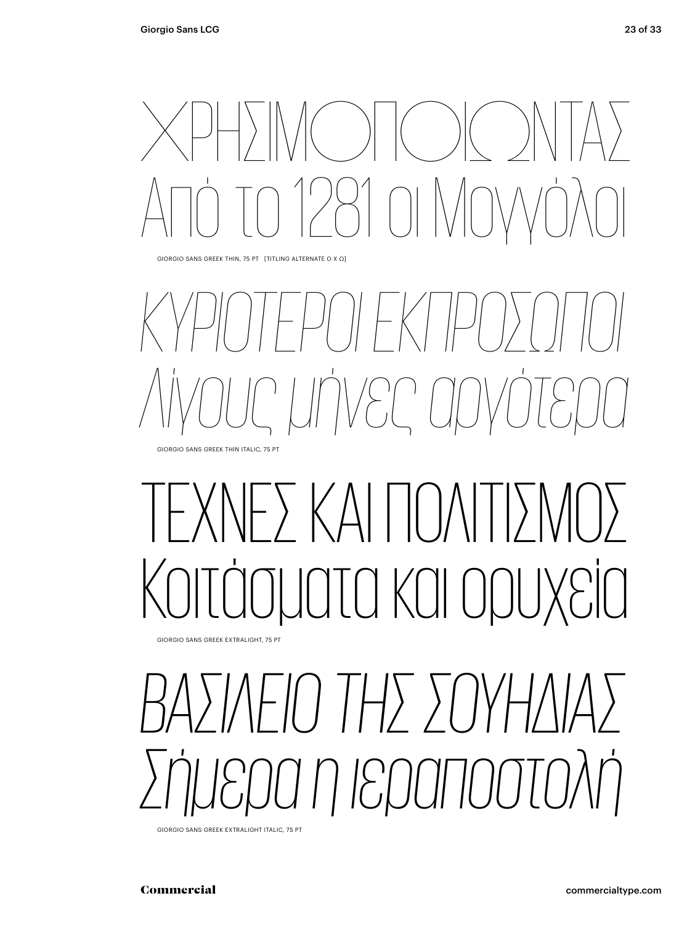## ΧΡΗΣΙΜΟΠΟΙΏΝΤΑΣ Από το 1281 οι Μογγόλοι

GIORGIO SANS GREEK THIN, 75 PT [TITLING ALTERNATE Ο Χ Ω]

#### *ΚΥΡΙΌΤΕΡΟΙ ΕΚΠΡΌΣΩΠΟΙ Λίγους μήνες αργότερα* GIORGIO SANS GREEK THIN ITALIC, 75 PT

#### - ) ΚΑΙ ΠΟΙ τα και ορυ

GIORGIO SANS GREEK EXTRALIGHT, 75 PT

#### *ΒΑΣΊΛΕΙΟ ΤΗΣ ΣΟΥΗΔΊΑΣ Σήμερα η ιεραποστολή*

GIORGIO SANS GREEK EXTRALIGHT ITALIC, 75 PT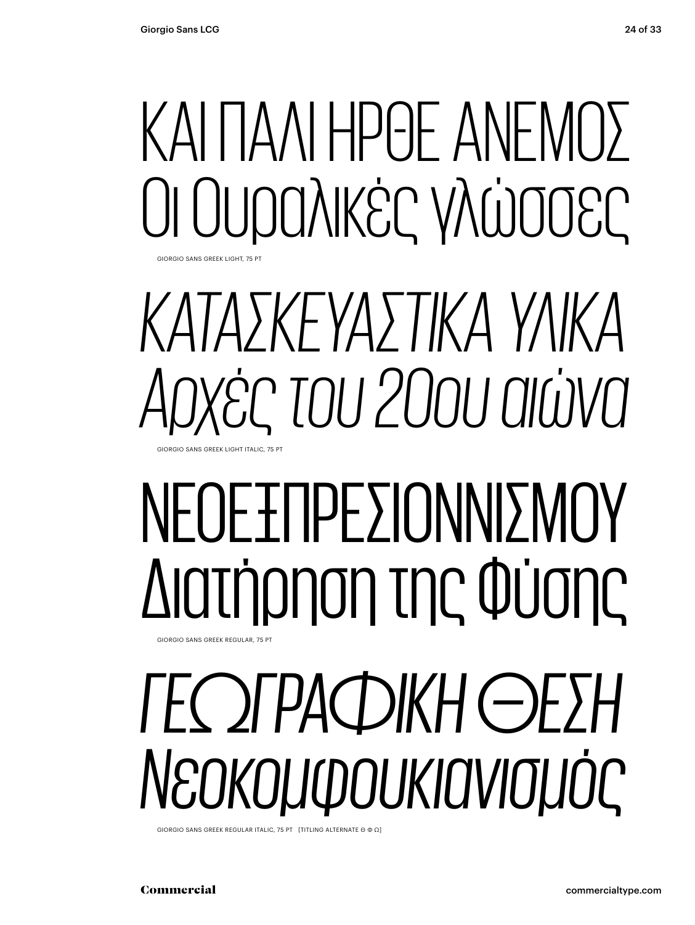GIORGIO SANS GREEK LIGHT, 75 PT

### ΚΑΙ ΠΑΛΙ ΗΡΘΕ ΑΝΕΜΟΣ Οι Ουραλικές γλώσσες

*ΚΑΤΑΣΚΕΥΑΣΤΙΚΑ ΥΛΙΚΑ Αρχές του 20ου αιώνα* GIORGIO SANS GREEK LIGHT ITALIC, 75 PT

#### ΝΕΟΕΞΠΡΕΣΙΟΝΝΙΣΜΟΎ Διατήρηση της Φύσης GIORGIO SANS GREEK REGULAR, 75 PT

*ΓΕΩΓΡΑΦΙΚΉ ΘΕΣΗ Νεοκομφουκιανισμός*

GIORGIO SANS GREEK REGULAR ITALIC, 75 PT [TITLING ALTERNATE Θ Φ Ω]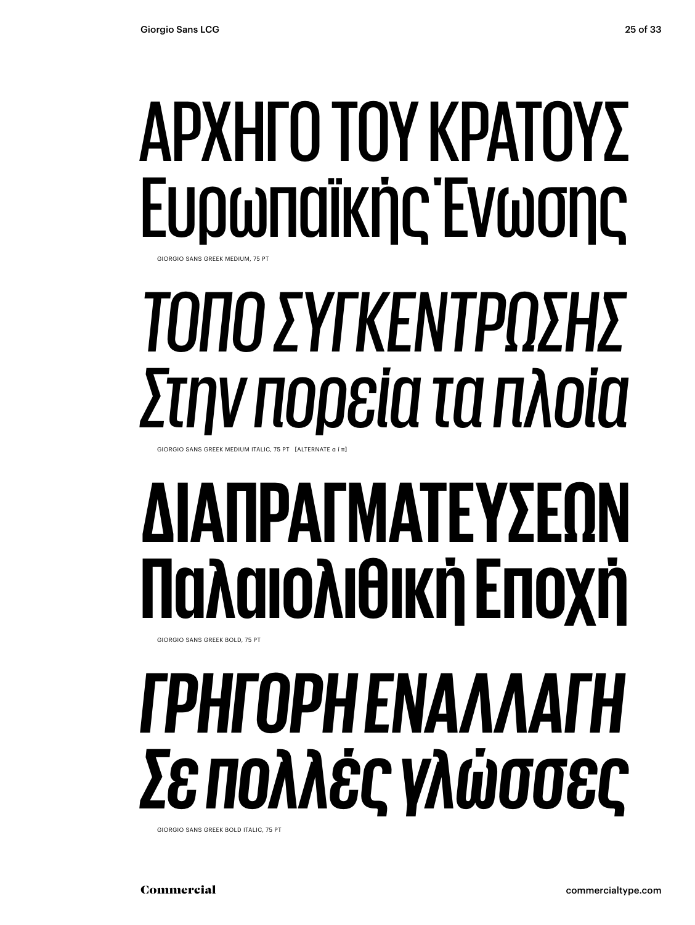#### ΑΡΧΗΓΟ ΤΟΥ ΚΡΑΤΟΥΣ Ευρωπαϊκής Ένωσης SIORGIO SANS GREEK MEDILIM, 75

*ΤΌΠΟ ΣΥΓΚΈΝΤΡΩΣΗΣ Στην πορεία τα πλοία*

GIORGIO SANS GREEK MEDIUM ITALIC, 75 PT [ALTERNATE α ί π

#### **ΔΙΑΠΡΑΓΜΑΤΕΎΣΕΩΝ Παλαιολιθική Εποχή** GIORGIO SANS GREEK BOLD, 75 PT

#### *ΓΡΉΓΟΡΗ ΕΝΑΛΛΑΓΉ Σε πολλές γλώσσες*

GIORGIO SANS GREEK BOLD ITALIC, 75 PT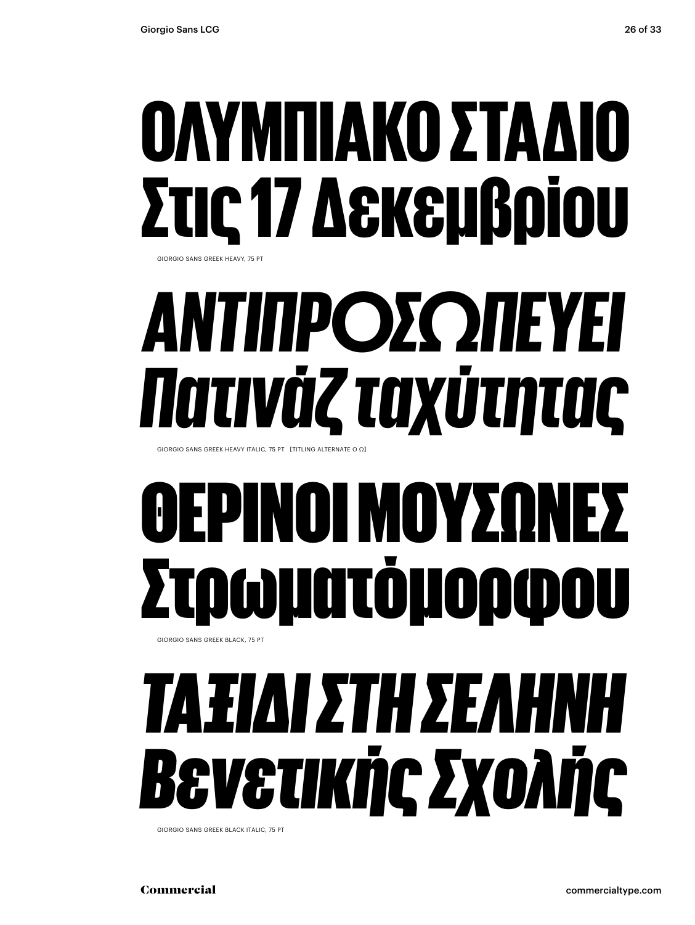#### ΟΛΥΜΠΙΑΚΟ ΣΤΑΔΙ Στις 17 Δεκεμβρίου GIORGIO SANS GREEK HEAVY, 75 PT

## *ΑΝΤΙΠΡΟΣΩΠΕΎΕΙ Πατινάζ ταχύτητας*

GIORGIO SANS GREEK HEAVY ITALIC, 75 PT [TITLING ALTERNATE O Ω]

#### ΙΝΟΙ ΜΟΥΣ Στρωµατόµορφου GIORGIO SANS GREEK BLACK, 75 PT

#### *ΤΑΞΊΔΙ ΣΤΗ ΣΕΛΗΝΗ Βενετικής Σχολής*

GIORGIO SANS GREEK BLACK ITALIC, 75 PT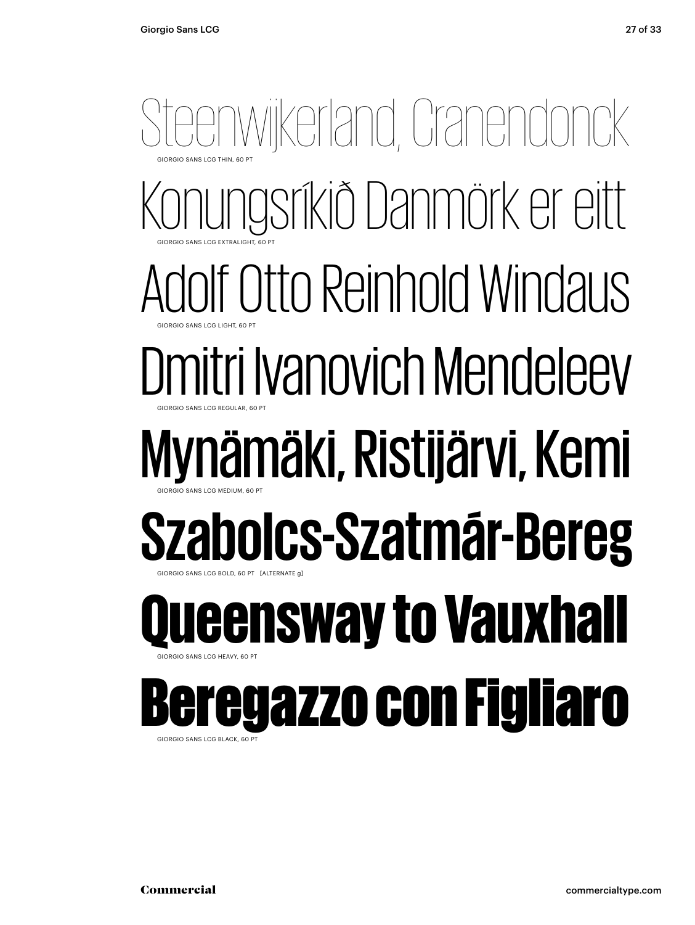#### GIORGIO SANS LCG THIN, 60 PT GIORGIO SANS LCG EXTRALIGHT, 60 PT GIORGIO SANS LCG LIGHT, 60 PT GIORGIO SANS LCG REGULAR, 60 PT GIORGIO SANS LCG MEDIUM, 60 PT GIORGIO SANS LCG BOLD, 60 PT [ALTERNATE g] GIORGIO SANS LCG HEAVY, 60 PT Steenwikerland, Cranendonck<br>Konungsríkið Danmörk er eitt<br>Adolf Otto Reinhold Windaus<br>**Dmitri Ivanovich Mendeleev<br>Mynämäki, Ristijärvi, Kemi<br>Szabol<b>cs-Szatmár-Bereg<br>Queensway to Vauxhall**<br>Beregazzo con Figliaro Konungsríkið Danmörk er eitt Adolf Otto Reinhold Windaus Dmitri Ivanovich Mendeleev Mynämäki, Ristijärvi, Kemi **Szabolcs-Szatmár-Bereg** GIORGIO SANS LCG EXTRALIGHT, 60 PT GIORGIO SANS LCG THIN, 6 GIORGIO SANS LCG REGULAR, 6 GIORGIO SANS LCG LIGHT, 6 GIORGIO SANS LCG BOLD, 60 PT [ALTERNA] GIORGIO SANS LCG MEDIUM, 6 **Leensway to Vauxhall** GIORGIO SANS LCG HEAVY, 6 egazzo con Figliaro

GIORGIO SANS LCG BLACK, 60 PT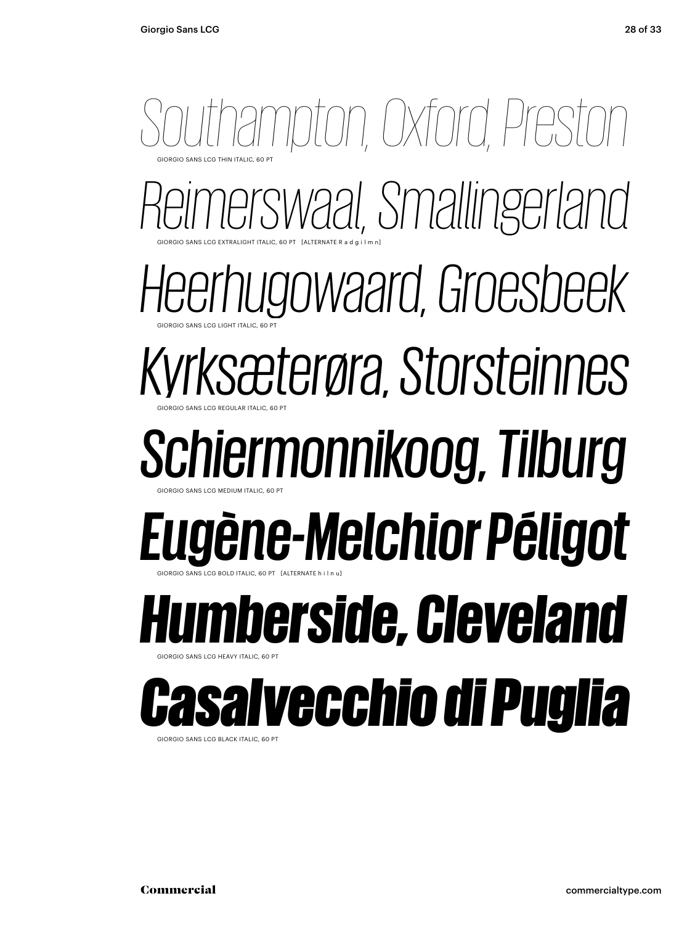#### GIORGIO SANS LCG THIN ITALIC, 60 PT GIORGIO SANS LCG EXTRALIGHT ITALIC, 60 PT [ALTERNATE R a d g i l m n] GIORGIO SANS LCG LIGHT ITALIC, 60 PT GIORGIO SANS LCG REGULAR ITALIC, 60 PT GIORGIO SANS LCG MEDIUM ITALIC, 60 PT GIORGIO SANS LCG BOLD ITALIC, 60 PT [ALTERNATE h i l n u] GIORGIO SANS LCG HEAVY ITALIC, 60 PT Southampton, Oxford, Preston<br>Reimerswaal, Smallingerland<br>Heerhugowaard, Groesbeek<br>Kyrksæterøra, Storsteinnes<br>**Schiermonnikoog, Tilburg<br>Eugène-Melchior Péligot<br><b>Humberside, Cleveland**<br>Casal**vecchio di Puglia** GIORGIO SANS LCG EXTRALIGHT ITALIC, 60 PT [ALTERNATE R a d g i l GIORGIO SANS LCG THIN ITALIC, 6 *Reimerswaal, Smallingerland Heerhugowaard, Groesbeek* GIORGIO SANS LCG REGULAR ITALIC, 6 GIORGIO SANS LCG LIGHT ITALIC, 6 *Kyrksæterøra, Storsteinnes Schiermonnikoog, Tilburg* GIORGIO SANS LCG BOLD ITALIC, 60 PT [ALTERNATE h i GIORGIO SANS LCG MEDIUM ITALIC, 6 *Eugène-Melchior Péligot Humberside, Cleveland* GIORGIO SANS LCG HEAVY IT *Casalvecchio di Puglia*

GIORGIO SANS LCG BLACK ITALIC, 60 PT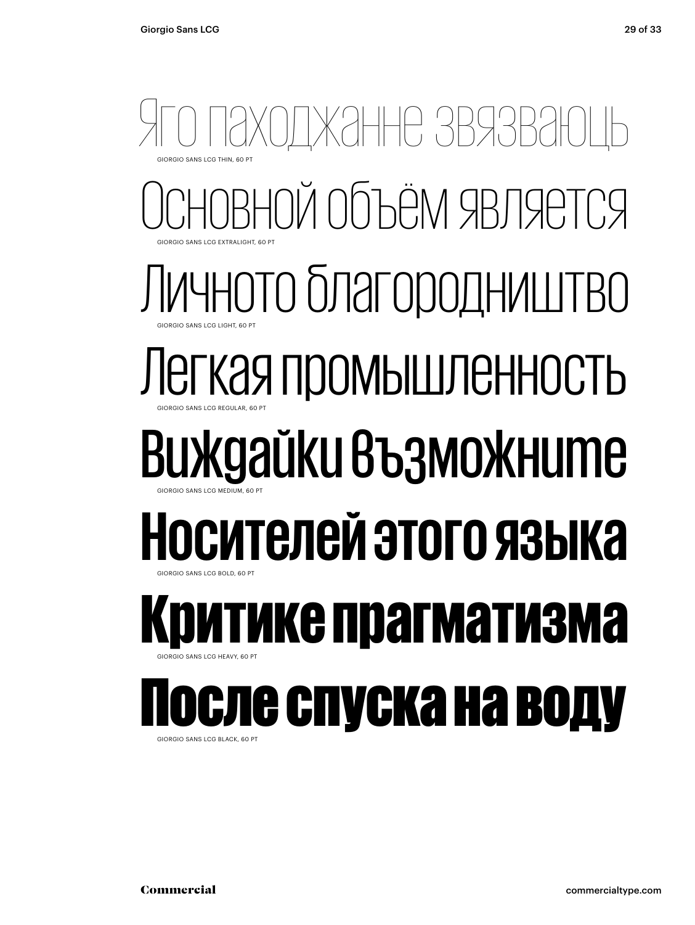#### ЖЭННЕ ЗВЯЗІ ОЙ Объём является Личното благородништво Легкая промышленность Виждайки възможните **Носителей этого языка** гике прагматизма После спуска на воду GIORGIO SANS LCG THIN, 60 PT **GIORGIO SANS LCG EXTRALIGHT, 60 PT** GIORGIO SANS LCG LIGHT, 60 PT GIORGIO SANS LCG REGULAR, 60 PT GIORGIO SANS LCG MEDIUM, 60 PT GIORGIO SANS LCG BOLD, 60 PT GIORGIO SANS LCG HEAVY, 60 PT

GIORGIO SANS LCG BLACK, 60 PT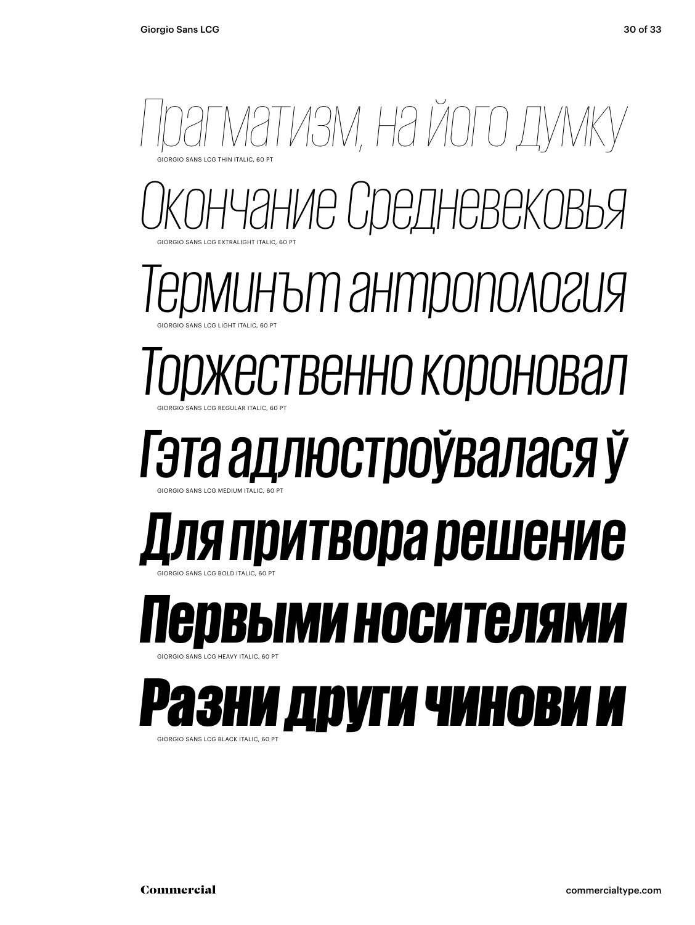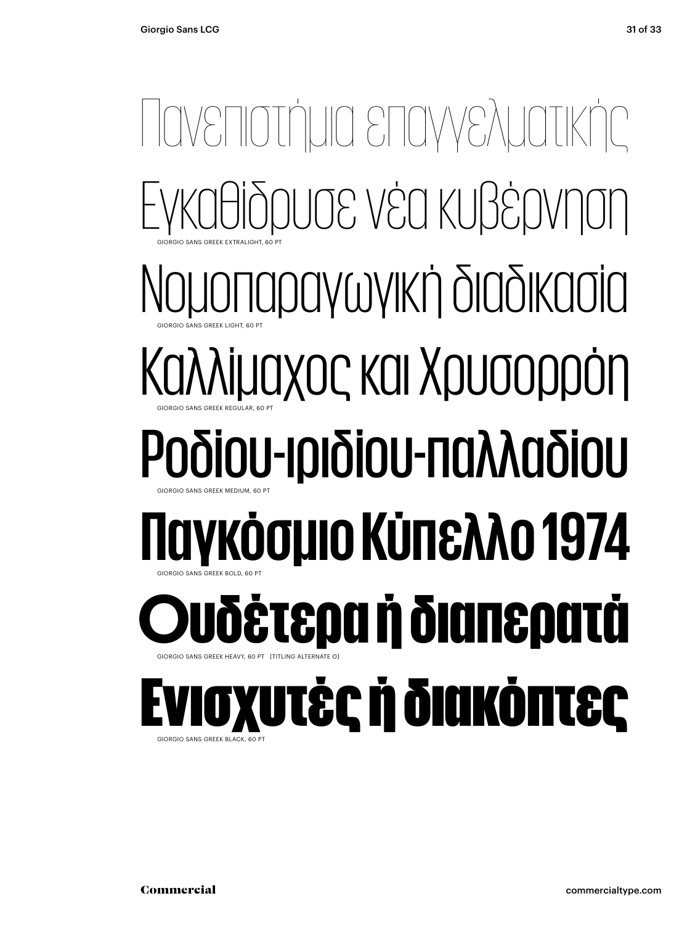#### Πανεπιστήμια επαγγελματικής Εγκαθίδρυσε νέα κυβέρνηση Νομοπαραγωγική διαδικασία Καλλίμαχος και Χρυσορρόη Ροδίου-ιριδίου-παλλαδίου **Παγκόσμιο Κύπελλο 1974** Ουδέτερα ή διαπερατά Ενισχυτές ή διακόπτες GIORGIO SANS GREEK EXTRALIGHT, 60 PT GIORGIO SANS GREEK LIGHT, 60 PT GIORGIO SANS GREEK REGULAR, 60 PT GIORGIO SANS GREEK MEDIUM, 60 PT GIORGIO SANS GREEK BOLD, 60 PT GIORGIO SANS GREEK HEAVY, 60 PT [TITLING ALTERNATE O] GIORGIO SANS GREEK BLACK, 60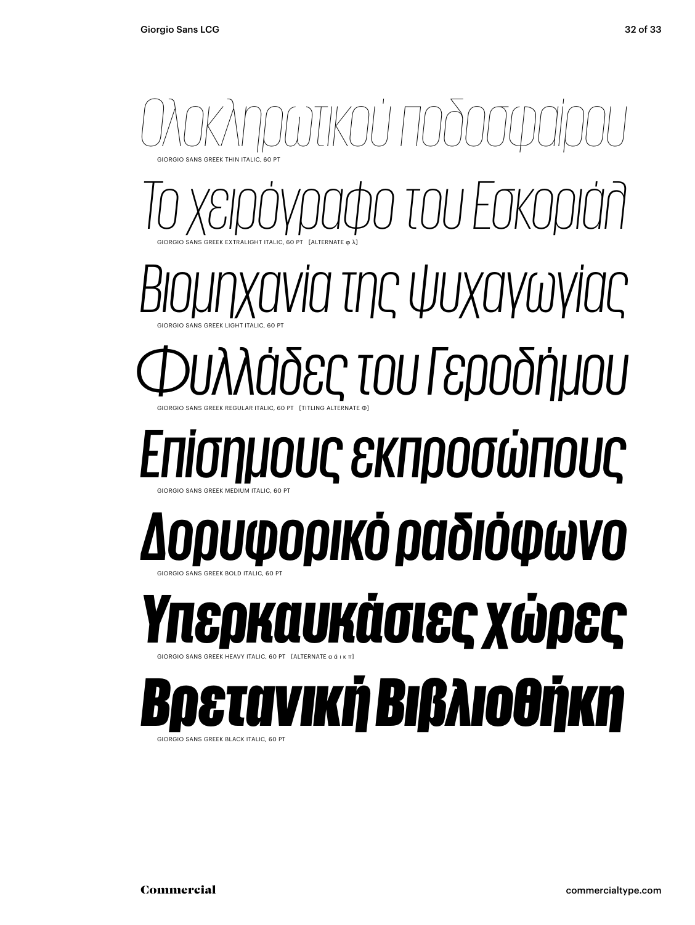